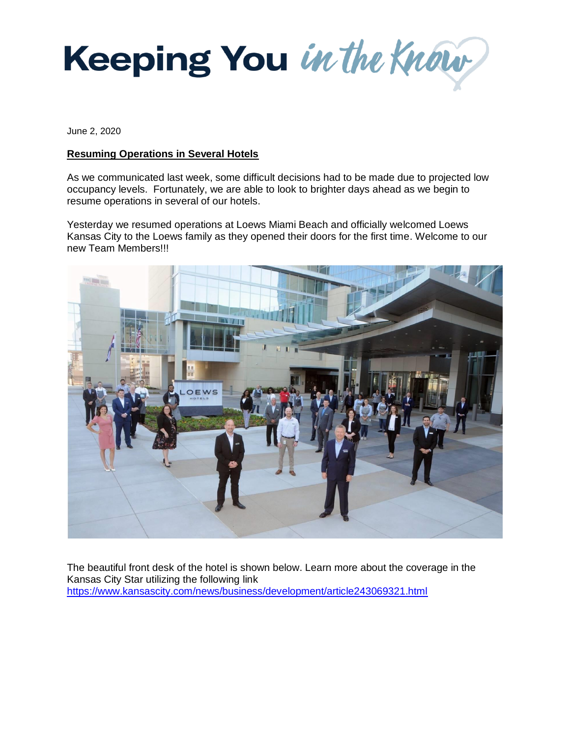

June 2, 2020

## **Resuming Operations in Several Hotels**

As we communicated last week, some difficult decisions had to be made due to projected low occupancy levels. Fortunately, we are able to look to brighter days ahead as we begin to resume operations in several of our hotels.

Yesterday we resumed operations at Loews Miami Beach and officially welcomed Loews Kansas City to the Loews family as they opened their doors for the first time. Welcome to our new Team Members!!!



The beautiful front desk of the hotel is shown below. Learn more about the coverage in the Kansas City Star utilizing the following link <https://www.kansascity.com/news/business/development/article243069321.html>